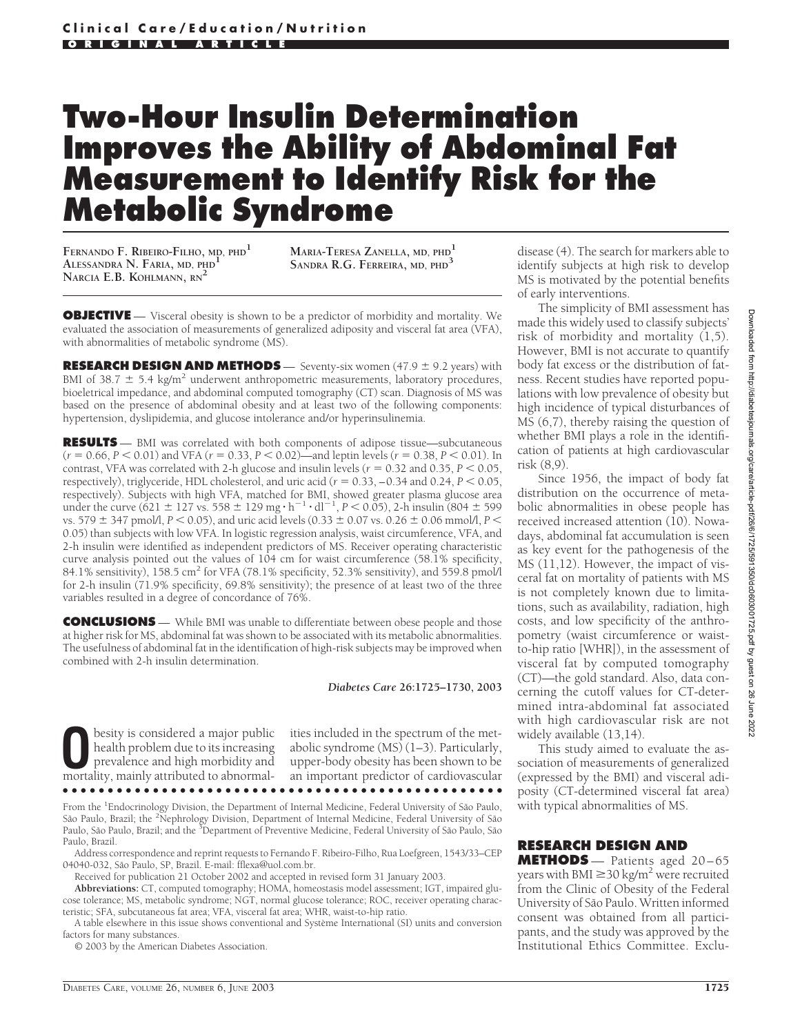## **Two-Hour Insulin Determination Improves the Ability of Abdominal Fat Measurement to Identify Risk for the Metabolic Syndrome**

**FERNANDO F. RIBEIRO-FILHO, MD, PHD<sup>1</sup> ALESSANDRA N. FARIA, MD, PHD<sup>1</sup> NARCIA E.B. KOHLMANN, RN<sup>2</sup>**

**MARIA-TERESA ZANELLA, MD, PHD<sup>1</sup> SANDRA R.G. FERREIRA, MD, PHD<sup>3</sup>**

**OBJECTIVE** — Visceral obesity is shown to be a predictor of morbidity and mortality. We evaluated the association of measurements of generalized adiposity and visceral fat area (VFA), with abnormalities of metabolic syndrome (MS).

**RESEARCH DESIGN AND METHODS** — Seventy-six women (47.9  $\pm$  9.2 years) with BMI of 38.7  $\pm$  5.4 kg/m<sup>2</sup> underwent anthropometric measurements, laboratory procedures, bioeletrical impedance, and abdominal computed tomography (CT) scan. Diagnosis of MS was based on the presence of abdominal obesity and at least two of the following components: hypertension, dyslipidemia, and glucose intolerance and/or hyperinsulinemia.

**RESULTS** — BMI was correlated with both components of adipose tissue—subcutaneous  $(r = 0.66, P \le 0.01)$  and VFA  $(r = 0.33, P \le 0.02)$ —and leptin levels  $(r = 0.38, P \le 0.01)$ . In contrast, VFA was correlated with 2-h glucose and insulin levels ( $r = 0.32$  and 0.35,  $P < 0.05$ , respectively), triglyceride, HDL cholesterol, and uric acid  $(r = 0.33, -0.34$  and  $0.24, P \le 0.05,$ respectively). Subjects with high VFA, matched for BMI, showed greater plasma glucose area<br>under the curve (621  $\pm$  127 vs. 558  $\pm$  129 mg · h<sup>-1</sup> · dl<sup>-1</sup>, *P* < 0.05), 2-h insulin (804  $\pm$  599 vs. 579  $\pm$  347 pmol/l, *P* < 0.05), and uric acid levels (0.33  $\pm$  0.07 vs. 0.26  $\pm$  0.06 mmol/l, *P* < 0.05) than subjects with low VFA. In logistic regression analysis, waist circumference, VFA, and 2-h insulin were identified as independent predictors of MS. Receiver operating characteristic curve analysis pointed out the values of 104 cm for waist circumference (58.1% specificity, 84.1% sensitivity),  $158.5 \text{ cm}^2$  for VFA (78.1% specificity,  $52.3\%$  sensitivity), and  $559.8 \text{ pmol/l}$ for 2-h insulin (71.9% specificity, 69.8% sensitivity); the presence of at least two of the three variables resulted in a degree of concordance of 76%.

**CONCLUSIONS** — While BMI was unable to differentiate between obese people and those at higher risk for MS, abdominal fat was shown to be associated with its metabolic abnormalities. The usefulness of abdominal fat in the identification of high-risk subjects may be improved when combined with 2-h insulin determination.

*Diabetes Care* **26:1725–1730, 2003**

**O**besity is considered a major public<br>health problem due to its increasing<br>prevalence and high morbidity and<br>mortality mainly attributed to abnormalhealth problem due to its increasing prevalence and high morbidity and mortality, mainly attributed to abnormal-

ities included in the spectrum of the metabolic syndrome  $(MS)(1-3)$ . Particularly, upper-body obesity has been shown to be an important predictor of cardiovascular

●●●●●●●●●●●●●●●●●●●●●●●●●●●●●●●●●●●●●●●●●●●●●●●●●

From the <sup>1</sup>Endocrinology Division, the Department of Internal Medicine, Federal University of São Paulo, São Paulo, Brazil; the <sup>2</sup>Nephrology Division, Department of Internal Medicine, Federal University of São Paulo, São Paulo, Brazil; and the <sup>3</sup>Department of Preventive Medicine, Federal University of São Paulo, São Paulo, Brazil.

Address correspondence and reprint requests to Fernando F. Ribeiro-Filho, Rua Loefgreen, 1543/33–CEP 04040-032, São Paulo, SP, Brazil. E-mail: fflexa@uol.com.br.

Received for publication 21 October 2002 and accepted in revised form 31 January 2003.

**Abbreviations:** CT, computed tomography; HOMA, homeostasis model assessment; IGT, impaired glucose tolerance; MS, metabolic syndrome; NGT, normal glucose tolerance; ROC, receiver operating characteristic; SFA, subcutaneous fat area; VFA, visceral fat area; WHR, waist-to-hip ratio.

A table elsewhere in this issue shows conventional and Système International (SI) units and conversion factors for many substances.

© 2003 by the American Diabetes Association.

disease (4). The search for markers able to identify subjects at high risk to develop MS is motivated by the potential benefits of early interventions.

The simplicity of BMI assessment has made this widely used to classify subjects' risk of morbidity and mortality (1,5). However, BMI is not accurate to quantify body fat excess or the distribution of fatness. Recent studies have reported populations with low prevalence of obesity but high incidence of typical disturbances of MS (6,7), thereby raising the question of whether BMI plays a role in the identification of patients at high cardiovascular risk (8,9).

Since 1956, the impact of body fat distribution on the occurrence of metabolic abnormalities in obese people has received increased attention (10). Nowadays, abdominal fat accumulation is seen as key event for the pathogenesis of the MS (11,12). However, the impact of visceral fat on mortality of patients with MS is not completely known due to limitations, such as availability, radiation, high costs, and low specificity of the anthropometry (waist circumference or waistto-hip ratio [WHR]), in the assessment of visceral fat by computed tomography (CT)—the gold standard. Also, data concerning the cutoff values for CT-determined intra-abdominal fat associated with high cardiovascular risk are not widely available (13,14).

This study aimed to evaluate the association of measurements of generalized (expressed by the BMI) and visceral adiposity (CT-determined visceral fat area) with typical abnormalities of MS.

## **RESEARCH DESIGN AND**

**METHODS** — Patients aged 20–65 years with BMI  $\geq$ 30 kg/m<sup>2</sup> were recruited from the Clinic of Obesity of the Federal University of São Paulo. Written informed consent was obtained from all participants, and the study was approved by the Institutional Ethics Committee. Exclu-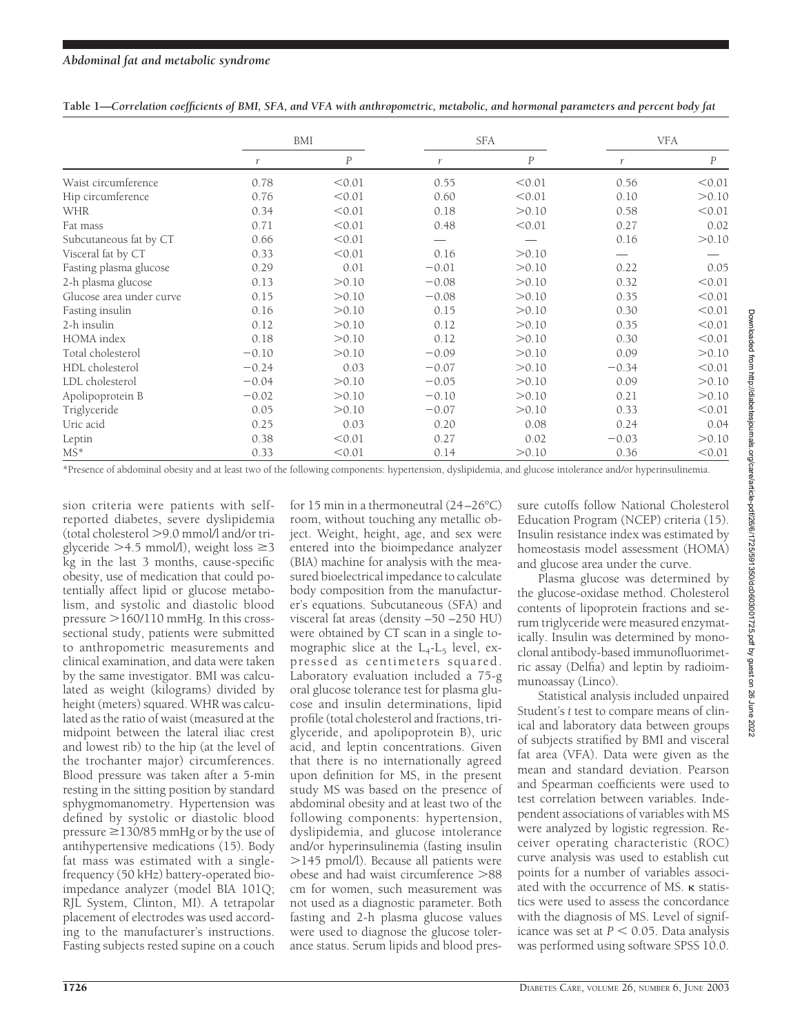| Table 1—Correlation coefficients of BMI, SFA, and VFA with anthropometric, metabolic, and hormonal parameters and percent body fat |  |  |  |
|------------------------------------------------------------------------------------------------------------------------------------|--|--|--|
|                                                                                                                                    |  |  |  |
|                                                                                                                                    |  |  |  |
|                                                                                                                                    |  |  |  |

|                          | BMI     |        | <b>SFA</b> |          | <b>VFA</b> |                  |
|--------------------------|---------|--------|------------|----------|------------|------------------|
|                          | r       | P      | r          | $\cal P$ | r          | $\boldsymbol{P}$ |
| Waist circumference      | 0.78    | < 0.01 | 0.55       | < 0.01   | 0.56       | < 0.01           |
| Hip circumference        | 0.76    | < 0.01 | 0.60       | < 0.01   | 0.10       | > 0.10           |
| <b>WHR</b>               | 0.34    | < 0.01 | 0.18       | > 0.10   | 0.58       | < 0.01           |
| Fat mass                 | 0.71    | < 0.01 | 0.48       | < 0.01   | 0.27       | 0.02             |
| Subcutaneous fat by CT   | 0.66    | < 0.01 |            |          | 0.16       | > 0.10           |
| Visceral fat by CT       | 0.33    | < 0.01 | 0.16       | > 0.10   |            |                  |
| Fasting plasma glucose   | 0.29    | 0.01   | $-0.01$    | > 0.10   | 0.22       | 0.05             |
| 2-h plasma glucose       | 0.13    | > 0.10 | $-0.08$    | > 0.10   | 0.32       | < 0.01           |
| Glucose area under curve | 0.15    | > 0.10 | $-0.08$    | > 0.10   | 0.35       | < 0.01           |
| Fasting insulin          | 0.16    | > 0.10 | 0.15       | > 0.10   | 0.30       | < 0.01           |
| 2-h insulin              | 0.12    | > 0.10 | 0.12       | > 0.10   | 0.35       | < 0.01           |
| HOMA index               | 0.18    | > 0.10 | 0.12       | > 0.10   | 0.30       | < 0.01           |
| Total cholesterol        | $-0.10$ | > 0.10 | $-0.09$    | > 0.10   | 0.09       | > 0.10           |
| HDL cholesterol          | $-0.24$ | 0.03   | $-0.07$    | > 0.10   | $-0.34$    | < 0.01           |
| LDL cholesterol          | $-0.04$ | > 0.10 | $-0.05$    | > 0.10   | 0.09       | > 0.10           |
| Apolipoprotein B         | $-0.02$ | > 0.10 | $-0.10$    | > 0.10   | 0.21       | > 0.10           |
| Triglyceride             | 0.05    | > 0.10 | $-0.07$    | > 0.10   | 0.33       | < 0.01           |
| Uric acid                | 0.25    | 0.03   | 0.20       | 0.08     | 0.24       | 0.04             |
| Leptin                   | 0.38    | < 0.01 | 0.27       | 0.02     | $-0.03$    | > 0.10           |
| $MS^*$                   | 0.33    | < 0.01 | 0.14       | > 0.10   | 0.36       | < 0.01           |

\*Presence of abdominal obesity and at least two of the following components: hypertension, dyslipidemia, and glucose intolerance and/or hyperinsulinemia.

sion criteria were patients with selfreported diabetes, severe dyslipidemia (total cholesterol 9.0 mmol/l and/or triglyceride  $>4.5$  mmol/l), weight loss  $\geq 3$ kg in the last 3 months, cause-specific obesity, use of medication that could potentially affect lipid or glucose metabolism, and systolic and diastolic blood pressure  $>160/110$  mmHg. In this crosssectional study, patients were submitted to anthropometric measurements and clinical examination, and data were taken by the same investigator. BMI was calculated as weight (kilograms) divided by height (meters) squared. WHR was calculated as the ratio of waist (measured at the midpoint between the lateral iliac crest and lowest rib) to the hip (at the level of the trochanter major) circumferences. Blood pressure was taken after a 5-min resting in the sitting position by standard sphygmomanometry. Hypertension was defined by systolic or diastolic blood pressure  $\geq$ 130/85 mmHg or by the use of antihypertensive medications (15). Body fat mass was estimated with a singlefrequency (50 kHz) battery-operated bioimpedance analyzer (model BIA 101Q; RJL System, Clinton, MI). A tetrapolar placement of electrodes was used according to the manufacturer's instructions. Fasting subjects rested supine on a couch

for 15 min in a thermoneutral (24–26°C) room, without touching any metallic object. Weight, height, age, and sex were entered into the bioimpedance analyzer (BIA) machine for analysis with the measured bioelectrical impedance to calculate body composition from the manufacturer's equations. Subcutaneous (SFA) and visceral fat areas (density –50 –250 HU) were obtained by CT scan in a single tomographic slice at the  $L_4$ - $L_5$  level, expressed as centimeters squared. Laboratory evaluation included a 75-g oral glucose tolerance test for plasma glucose and insulin determinations, lipid profile (total cholesterol and fractions, triglyceride, and apolipoprotein B), uric acid, and leptin concentrations. Given that there is no internationally agreed upon definition for MS, in the present study MS was based on the presence of abdominal obesity and at least two of the following components: hypertension, dyslipidemia, and glucose intolerance and/or hyperinsulinemia (fasting insulin 145 pmol/l). Because all patients were obese and had waist circumference >88 cm for women, such measurement was not used as a diagnostic parameter. Both fasting and 2-h plasma glucose values were used to diagnose the glucose tolerance status. Serum lipids and blood pres-

sure cutoffs follow National Cholesterol Education Program (NCEP) criteria (15). Insulin resistance index was estimated by homeostasis model assessment (HOMA) and glucose area under the curve.

Plasma glucose was determined by the glucose-oxidase method. Cholesterol contents of lipoprotein fractions and serum triglyceride were measured enzymatically. Insulin was determined by monoclonal antibody-based immunofluorimetric assay (Delfia) and leptin by radioimmunoassay (Linco).

Statistical analysis included unpaired Student's *t* test to compare means of clinical and laboratory data between groups of subjects stratified by BMI and visceral fat area (VFA). Data were given as the mean and standard deviation. Pearson and Spearman coefficients were used to test correlation between variables. Independent associations of variables with MS were analyzed by logistic regression. Receiver operating characteristic (ROC) curve analysis was used to establish cut points for a number of variables associated with the occurrence of MS.  $\kappa$  statistics were used to assess the concordance with the diagnosis of MS. Level of significance was set at  $P < 0.05$ . Data analysis was performed using software SPSS 10.0.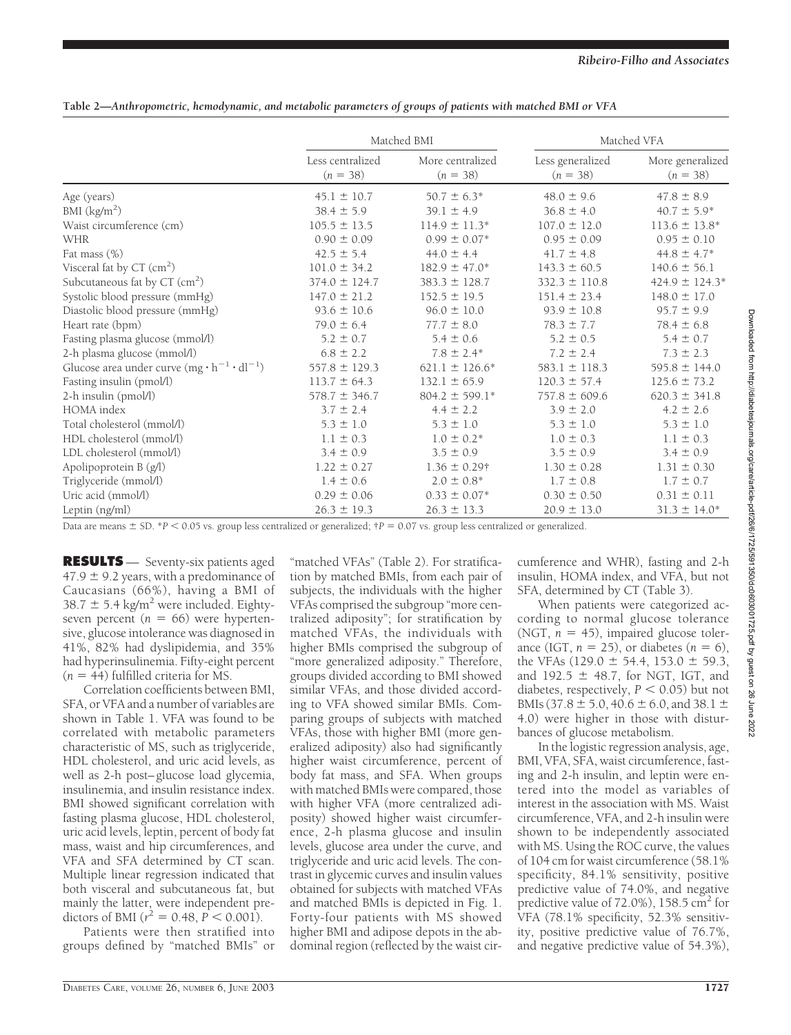| Table 2—Anthropometric, hemodynamic, and metabolic parameters of groups of patients with matched BMI or VFA |  |  |  |
|-------------------------------------------------------------------------------------------------------------|--|--|--|
|                                                                                                             |  |  |  |
|                                                                                                             |  |  |  |

|                                                            | Matched BMI                    |                                |                                | Matched VFA                    |
|------------------------------------------------------------|--------------------------------|--------------------------------|--------------------------------|--------------------------------|
|                                                            | Less centralized<br>$(n = 38)$ | More centralized<br>$(n = 38)$ | Less generalized<br>$(n = 38)$ | More generalized<br>$(n = 38)$ |
| Age (years)                                                | $45.1 \pm 10.7$                | $50.7 \pm 6.3*$                | $48.0 \pm 9.6$                 | $47.8 \pm 8.9$                 |
| BMI (kg/m <sup>2</sup> )                                   | $38.4 \pm 5.9$                 | $39.1 \pm 4.9$                 | $36.8 \pm 4.0$                 | $40.7 \pm 5.9^*$               |
| Waist circumference (cm)                                   | $105.5 \pm 13.5$               | $114.9 \pm 11.3*$              | $107.0 \pm 12.0$               | $113.6 \pm 13.8^*$             |
| <b>WHR</b>                                                 | $0.90 \pm 0.09$                | $0.99 \pm 0.07*$               | $0.95 \pm 0.09$                | $0.95 \pm 0.10$                |
| Fat mass (%)                                               | $42.5 \pm 5.4$                 | $44.0 \pm 4.4$                 | $41.7 \pm 4.8$                 | $44.8 \pm 4.7*$                |
| Visceral fat by $CT$ (cm <sup>2</sup> )                    | $101.0 \pm 34.2$               | $182.9 \pm 47.0^*$             | $143.3 \pm 60.5$               | $140.6 \pm 56.1$               |
| Subcutaneous fat by $CT$ (cm <sup>2</sup> )                | $374.0 \pm 124.7$              | $383.3 \pm 128.7$              | $332.3 \pm 110.8$              | $424.9 \pm 124.3*$             |
| Systolic blood pressure (mmHg)                             | $147.0 \pm 21.2$               | $152.5 \pm 19.5$               | $151.4 \pm 23.4$               | $148.0 \pm 17.0$               |
| Diastolic blood pressure (mmHg)                            | $93.6 \pm 10.6$                | $96.0 \pm 10.0$                | $93.9 \pm 10.8$                | $95.7 \pm 9.9$                 |
| Heart rate (bpm)                                           | $79.0 \pm 6.4$                 | $77.7 \pm 8.0$                 | $78.3 \pm 7.7$                 | $78.4 \pm 6.8$                 |
| Fasting plasma glucose (mmol/l)                            | $5.2 \pm 0.7$                  | $5.4 \pm 0.6$                  | $5.2 \pm 0.5$                  | $5.4 \pm 0.7$                  |
| 2-h plasma glucose (mmol/l)                                | $6.8 \pm 2.2$                  | $7.8 \pm 2.4*$                 | $7.2 \pm 2.4$                  | $7.3 \pm 2.3$                  |
| Glucose area under curve $(mg \cdot h^{-1} \cdot dl^{-1})$ | $557.8 \pm 129.3$              | $621.1 \pm 126.6^*$            | $583.1 \pm 118.3$              | $595.8 \pm 144.0$              |
| Fasting insulin (pmol/l)                                   | $113.7 \pm 64.3$               | $132.1 \pm 65.9$               | $120.3 \pm 57.4$               | $125.6 \pm 73.2$               |
| 2-h insulin (pmol/l)                                       | $578.7 \pm 346.7$              | $804.2 \pm 599.1*$             | $757.8 \pm 609.6$              | $620.3 \pm 341.8$              |
| HOMA index                                                 | $3.7 \pm 2.4$                  | $4.4 \pm 2.2$                  | $3.9 \pm 2.0$                  | $4.2 \pm 2.6$                  |
| Total cholesterol (mmol/l)                                 | $5.3 \pm 1.0$                  | $5.3 \pm 1.0$                  | $5.3 \pm 1.0$                  | $5.3 \pm 1.0$                  |
| HDL cholesterol (mmol/l)                                   | $1.1 \pm 0.3$                  | $1.0 \pm 0.2*$                 | $1.0 \pm 0.3$                  | $1.1 \pm 0.3$                  |
| LDL cholesterol (mmol/l)                                   | $3.4 \pm 0.9$                  | $3.5 \pm 0.9$                  | $3.5 \pm 0.9$                  | $3.4 \pm 0.9$                  |
| Apolipoprotein B (g/l)                                     | $1.22 \pm 0.27$                | $1.36 \pm 0.29$ †              | $1.30 \pm 0.28$                | $1.31 \pm 0.30$                |
| Triglyceride (mmol/l)                                      | $1.4 \pm 0.6$                  | $2.0 \pm 0.8^*$                | $1.7 \pm 0.8$                  | $1.7 \pm 0.7$                  |
| Uric acid (mmol/l)                                         | $0.29 \pm 0.06$                | $0.33 \pm 0.07*$               | $0.30 \pm 0.50$                | $0.31 \pm 0.11$                |
| Leptin (ng/ml)                                             | $26.3 \pm 19.3$                | $26.3 \pm 13.3$                | $20.9 \pm 13.0$                | $31.3 \pm 14.0*$               |

Data are means  $\pm$  SD. \**P* < 0.05 vs. group less centralized or generalized;  $\uparrow$ *P* = 0.07 vs. group less centralized or generalized.

**RESULTS** — Seventy-six patients aged  $47.9 \pm 9.2$  years, with a predominance of Caucasians (66%), having a BMI of 38.7  $\pm$  5.4 kg/m<sup>2</sup> were included. Eightyseven percent  $(n = 66)$  were hypertensive, glucose intolerance was diagnosed in 41%, 82% had dyslipidemia, and 35% had hyperinsulinemia. Fifty-eight percent  $(n = 44)$  fulfilled criteria for MS.

Correlation coefficients between BMI, SFA, or VFA and a number of variables are shown in Table 1. VFA was found to be correlated with metabolic parameters characteristic of MS, such as triglyceride, HDL cholesterol, and uric acid levels, as well as 2-h post–glucose load glycemia, insulinemia, and insulin resistance index. BMI showed significant correlation with fasting plasma glucose, HDL cholesterol, uric acid levels, leptin, percent of body fat mass, waist and hip circumferences, and VFA and SFA determined by CT scan. Multiple linear regression indicated that both visceral and subcutaneous fat, but mainly the latter, were independent predictors of BMI ( $r^2 = 0.48$ ,  $P < 0.001$ ).

Patients were then stratified into groups defined by "matched BMIs" or

"matched VFAs" (Table 2). For stratification by matched BMIs, from each pair of subjects, the individuals with the higher VFAs comprised the subgroup "more centralized adiposity"; for stratification by matched VFAs, the individuals with higher BMIs comprised the subgroup of "more generalized adiposity." Therefore, groups divided according to BMI showed similar VFAs, and those divided according to VFA showed similar BMIs. Comparing groups of subjects with matched VFAs, those with higher BMI (more generalized adiposity) also had significantly higher waist circumference, percent of body fat mass, and SFA. When groups with matched BMIs were compared, those with higher VFA (more centralized adiposity) showed higher waist circumference, 2-h plasma glucose and insulin levels, glucose area under the curve, and triglyceride and uric acid levels. The contrast in glycemic curves and insulin values obtained for subjects with matched VFAs and matched BMIs is depicted in Fig. 1. Forty-four patients with MS showed higher BMI and adipose depots in the abdominal region (reflected by the waist circumference and WHR), fasting and 2-h insulin, HOMA index, and VFA, but not SFA, determined by CT (Table 3).

When patients were categorized according to normal glucose tolerance  $(NGT, n = 45)$ , impaired glucose tolerance (IGT,  $n = 25$ ), or diabetes ( $n = 6$ ), the VFAs (129.0  $\pm$  54.4, 153.0  $\pm$  59.3, and  $192.5 \pm 48.7$ , for NGT, IGT, and diabetes, respectively,  $P \leq 0.05$ ) but not BMIs (37.8  $\pm$  5.0, 40.6  $\pm$  6.0, and 38.1  $\pm$ 4.0) were higher in those with disturbances of glucose metabolism.

In the logistic regression analysis, age, BMI, VFA, SFA, waist circumference, fasting and 2-h insulin, and leptin were entered into the model as variables of interest in the association with MS. Waist circumference, VFA, and 2-h insulin were shown to be independently associated with MS. Using the ROC curve, the values of 104 cm for waist circumference (58.1% specificity, 84.1% sensitivity, positive predictive value of 74.0%, and negative predictive value of  $72.0\%$ ), 158.5 cm<sup>2</sup> for VFA (78.1% specificity, 52.3% sensitivity, positive predictive value of 76.7%, and negative predictive value of 54.3%),

Downloaded from http://diabetesjournals.org/care/article-pdf/26/6/1725/591350/dc06030001725.pdf by guest on 26 June 2022 Downloaded from http://diabetesjournals.org/care/article-pdf/26/6/1725/591350/dc0603001725.pdf by guest on 26 June 2022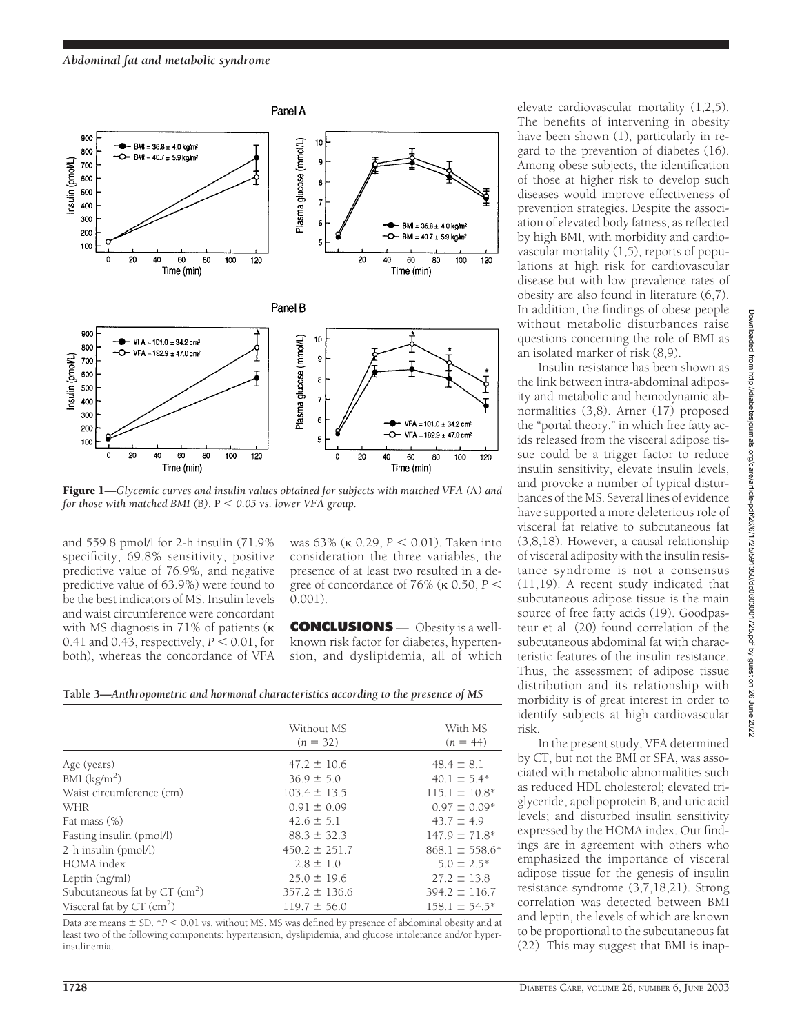

Figure 1—*Glycemic curves and insulin values obtained for subjects with matched VFA (*A*) and for those with matched BMI (*B*).* P *0.05 vs. lower VFA group.*

and 559.8 pmol/l for 2-h insulin (71.9% specificity, 69.8% sensitivity, positive predictive value of 76.9%, and negative predictive value of 63.9%) were found to be the best indicators of MS. Insulin levels and waist circumference were concordant with MS diagnosis in 71% of patients ( $\kappa$ 0.41 and 0.43, respectively,  $P \le 0.01$ , for both), whereas the concordance of VFA

was 63% (κ 0.29, *P* < 0.01). Taken into consideration the three variables, the presence of at least two resulted in a degree of concordance of 76% ( $\kappa$  0.50,  $P \leq$ 0.001).

**CONCLUSIONS** — Obesity is a wellknown risk factor for diabetes, hypertension, and dyslipidemia, all of which

**Table 3—***Anthropometric and hormonal characteristics according to the presence of MS*

|                                             | Without MS<br>$(n = 32)$ | With MS<br>$(n = 44)$ |
|---------------------------------------------|--------------------------|-----------------------|
| Age (years)                                 | $47.2 \pm 10.6$          | $48.4 \pm 8.1$        |
| BMI $(kg/m2)$                               | $36.9 \pm 5.0$           | $40.1 \pm 5.4^*$      |
| Waist circumference (cm)                    | $103.4 \pm 13.5$         | $115.1 \pm 10.8^*$    |
| <b>WHR</b>                                  | $0.91 \pm 0.09$          | $0.97 \pm 0.09*$      |
| Fat mass $(\%)$                             | $42.6 \pm 5.1$           | $43.7 \pm 4.9$        |
| Fasting insulin (pmol/l)                    | $88.3 \pm 32.3$          | $147.9 \pm 71.8^*$    |
| 2-h insulin (pmol/l)                        | $450.2 \pm 251.7$        | $868.1 \pm 558.6^*$   |
| HOMA index                                  | $2.8 \pm 1.0$            | $5.0 \pm 2.5^*$       |
| Leptin $(ng/ml)$                            | $25.0 \pm 19.6$          | $27.2 \pm 13.8$       |
| Subcutaneous fat by $CT$ (cm <sup>2</sup> ) | $357.2 \pm 136.6$        | $394.2 \pm 116.7$     |
| Visceral fat by $CT$ (cm <sup>2</sup> )     | $119.7 \pm 56.0$         | $158.1 \pm 54.5^*$    |

Data are means  $\pm$  SD.  $*P < 0.01$  vs. without MS. MS was defined by presence of abdominal obesity and at least two of the following components: hypertension, dyslipidemia, and glucose intolerance and/or hyperinsulinemia.

elevate cardiovascular mortality (1,2,5). The benefits of intervening in obesity have been shown (1), particularly in regard to the prevention of diabetes (16). Among obese subjects, the identification of those at higher risk to develop such diseases would improve effectiveness of prevention strategies. Despite the association of elevated body fatness, as reflected by high BMI, with morbidity and cardiovascular mortality (1,5), reports of populations at high risk for cardiovascular disease but with low prevalence rates of obesity are also found in literature (6,7). In addition, the findings of obese people without metabolic disturbances raise questions concerning the role of BMI as an isolated marker of risk (8,9).

Insulin resistance has been shown as the link between intra-abdominal adiposity and metabolic and hemodynamic abnormalities (3,8). Arner (17) proposed the "portal theory," in which free fatty acids released from the visceral adipose tissue could be a trigger factor to reduce insulin sensitivity, elevate insulin levels, and provoke a number of typical disturbances of the MS. Several lines of evidence have supported a more deleterious role of visceral fat relative to subcutaneous fat (3,8,18). However, a causal relationship of visceral adiposity with the insulin resistance syndrome is not a consensus (11,19). A recent study indicated that subcutaneous adipose tissue is the main source of free fatty acids (19). Goodpasteur et al. (20) found correlation of the subcutaneous abdominal fat with characteristic features of the insulin resistance. Thus, the assessment of adipose tissue distribution and its relationship with morbidity is of great interest in order to identify subjects at high cardiovascular risk.

In the present study, VFA determined by CT, but not the BMI or SFA, was associated with metabolic abnormalities such as reduced HDL cholesterol; elevated triglyceride, apolipoprotein B, and uric acid levels; and disturbed insulin sensitivity expressed by the HOMA index. Our findings are in agreement with others who emphasized the importance of visceral adipose tissue for the genesis of insulin resistance syndrome (3,7,18,21). Strong correlation was detected between BMI and leptin, the levels of which are known to be proportional to the subcutaneous fat (22). This may suggest that BMI is inap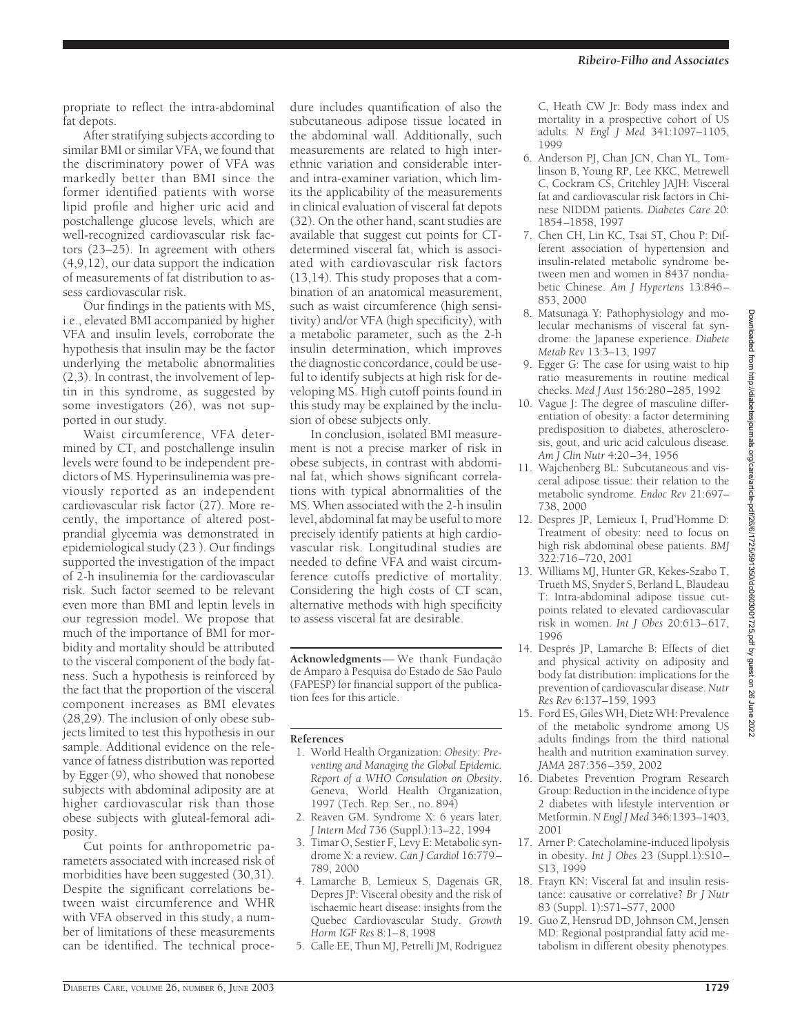propriate to reflect the intra-abdominal fat depots.

After stratifying subjects according to similar BMI or similar VFA, we found that the discriminatory power of VFA was markedly better than BMI since the former identified patients with worse lipid profile and higher uric acid and postchallenge glucose levels, which are well-recognized cardiovascular risk factors (23–25). In agreement with others (4,9,12), our data support the indication of measurements of fat distribution to assess cardiovascular risk.

Our findings in the patients with MS, i.e., elevated BMI accompanied by higher VFA and insulin levels, corroborate the hypothesis that insulin may be the factor underlying the metabolic abnormalities (2,3). In contrast, the involvement of leptin in this syndrome, as suggested by some investigators (26), was not supported in our study.

Waist circumference, VFA determined by CT, and postchallenge insulin levels were found to be independent predictors of MS. Hyperinsulinemia was previously reported as an independent cardiovascular risk factor (27). More recently, the importance of altered postprandial glycemia was demonstrated in epidemiological study (23 ). Our findings supported the investigation of the impact of 2-h insulinemia for the cardiovascular risk. Such factor seemed to be relevant even more than BMI and leptin levels in our regression model. We propose that much of the importance of BMI for morbidity and mortality should be attributed to the visceral component of the body fatness. Such a hypothesis is reinforced by the fact that the proportion of the visceral component increases as BMI elevates  $(28, 29)$ . The inclusion of only obese subjects limited to test this hypothesis in our sample. Additional evidence on the relevance of fatness distribution was reported by Egger (9), who showed that nonobese subjects with abdominal adiposity are at higher cardiovascular risk than those obese subjects with gluteal-femoral adiposity.

Cut points for anthropometric parameters associated with increased risk of morbidities have been suggested (30,31). Despite the significant correlations between waist circumference and WHR with VFA observed in this study, a number of limitations of these measurements can be identified. The technical procedure includes quantification of also the subcutaneous adipose tissue located in the abdominal wall. Additionally, such measurements are related to high interethnic variation and considerable interand intra-examiner variation, which limits the applicability of the measurements in clinical evaluation of visceral fat depots (32). On the other hand, scant studies are available that suggest cut points for CTdetermined visceral fat, which is associated with cardiovascular risk factors (13,14). This study proposes that a combination of an anatomical measurement, such as waist circumference (high sensitivity) and/or VFA (high specificity), with a metabolic parameter, such as the 2-h insulin determination, which improves the diagnostic concordance, could be useful to identify subjects at high risk for developing MS. High cutoff points found in this study may be explained by the inclusion of obese subjects only.

In conclusion, isolated BMI measurement is not a precise marker of risk in obese subjects, in contrast with abdominal fat, which shows significant correlations with typical abnormalities of the MS. When associated with the 2-h insulin level, abdominal fat may be useful to more precisely identify patients at high cardiovascular risk. Longitudinal studies are needed to define VFA and waist circumference cutoffs predictive of mortality. Considering the high costs of CT scan, alternative methods with high specificity to assess visceral fat are desirable.

Acknowledgments-We thank Fundação de Amparo à Pesquisa do Estado de São Paulo (FAPESP) for financial support of the publication fees for this article.

## **References**

- 1. World Health Organization: *Obesity: Preventing and Managing the Global Epidemic. Report of a WHO Consulation on Obesity*. Geneva, World Health Organization, 1997 (Tech. Rep. Ser., no. 894)
- 2. Reaven GM. Syndrome X: 6 years later. *J Intern Med* 736 (Suppl.):13–22, 1994
- 3. Timar O, Sestier F, Levy E: Metabolic syndrome X: a review. *Can J Cardiol* 16:779– 789, 2000
- 4. Lamarche B, Lemieux S, Dagenais GR, Depres JP: Visceral obesity and the risk of ischaemic heart disease: insights from the Quebec Cardiovascular Study. *Growth Horm IGF Res* 8:1–8, 1998
- 5. Calle EE, Thun MJ, Petrelli JM, Rodriguez

C, Heath CW Jr: Body mass index and mortality in a prospective cohort of US adults. *N Engl J Med* 341:1097–1105, 1999

- 6. Anderson PJ, Chan JCN, Chan YL, Tomlinson B, Young RP, Lee KKC, Metrewell C, Cockram CS, Critchley JAJH: Visceral fat and cardiovascular risk factors in Chinese NIDDM patients. *Diabetes Care* 20: 1854–1858, 1997
- 7. Chen CH, Lin KC, Tsai ST, Chou P: Different association of hypertension and insulin-related metabolic syndrome between men and women in 8437 nondiabetic Chinese. *Am J Hypertens* 13:846– 853, 2000
- 8. Matsunaga Y: Pathophysiology and molecular mechanisms of visceral fat syndrome: the Japanese experience. *Diabete Metab Rev* 13:3–13, 1997
- 9. Egger G: The case for using waist to hip ratio measurements in routine medical checks. *Med J Aust* 156:280–285, 1992
- 10. Vague J: The degree of masculine differentiation of obesity: a factor determining predisposition to diabetes, atherosclerosis, gout, and uric acid calculous disease. *Am J Clin Nutr* 4:20–34, 1956
- 11. Wajchenberg BL: Subcutaneous and visceral adipose tissue: their relation to the metabolic syndrome. *Endoc Rev* 21:697– 738, 2000
- 12. Despres JP, Lemieux I, Prud'Homme D: Treatment of obesity: need to focus on high risk abdominal obese patients. *BMJ* 322:716–720, 2001
- 13. Williams MJ, Hunter GR, Kekes-Szabo T, Trueth MS, Snyder S, Berland L, Blaudeau T: Intra-abdominal adipose tissue cutpoints related to elevated cardiovascular risk in women. *Int J Obes* 20:613–617, 1996
- 14. Després JP, Lamarche B: Effects of diet and physical activity on adiposity and body fat distribution: implications for the prevention of cardiovascular disease.*Nutr Res Rev* 6:137–159, 1993
- 15. Ford ES, Giles WH, Dietz WH: Prevalence of the metabolic syndrome among US adults findings from the third national health and nutrition examination survey. *JAMA* 287:356–359, 2002
- 16. Diabetes Prevention Program Research Group: Reduction in the incidence of type 2 diabetes with lifestyle intervention or Metformin. *N Engl J Med* 346:1393–1403, 2001
- 17. Arner P: Catecholamine-induced lipolysis in obesity. *Int J Obes* 23 (Suppl.1):S10– S13, 1999
- 18. Frayn KN: Visceral fat and insulin resistance: causative or correlative? *Br J Nutr* 83 (Suppl. 1):S71–S77, 2000
- 19. Guo Z, Hensrud DD, Johnson CM, Jensen MD: Regional postprandial fatty acid metabolism in different obesity phenotypes.